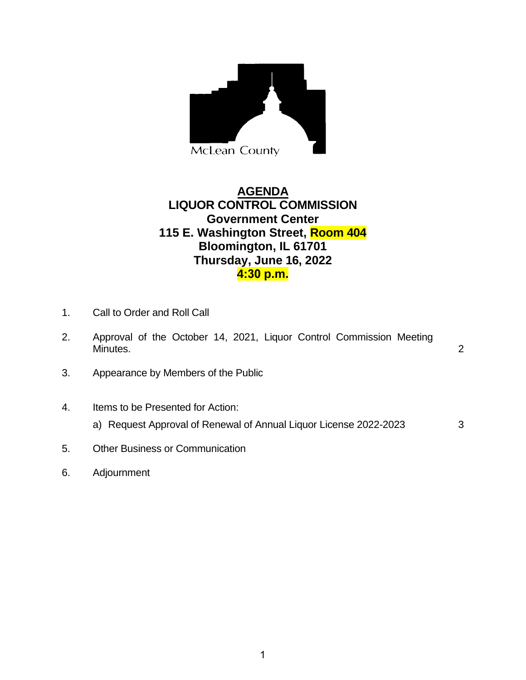

## **AGENDA LIQUOR CONTROL COMMISSION Government Center 115 E. Washington Street, Room 404 Bloomington, IL 61701 Thursday, June 16, 2022 4:30 p.m.**

- 1. Call to Order and Roll Call
- 2. Approval of the October 14, 2021, Liquor Control Commission Meeting Minutes. 2
- 3. Appearance by Members of the Public
- 4. Items to be Presented for Action:
	- a) Request Approval of Renewal of Annual Liquor License 2022-2023 3
- 5. Other Business or Communication
- 6. Adjournment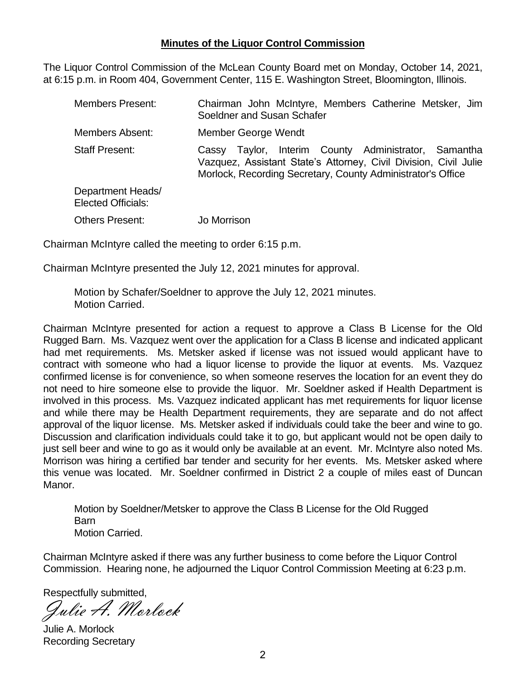## **Minutes of the Liquor Control Commission**

The Liquor Control Commission of the McLean County Board met on Monday, October 14, 2021, at 6:15 p.m. in Room 404, Government Center, 115 E. Washington Street, Bloomington, Illinois.

| <b>Members Present:</b>                        | Chairman John McIntyre, Members Catherine Metsker, Jim<br>Soeldner and Susan Schafer                                                                                                       |
|------------------------------------------------|--------------------------------------------------------------------------------------------------------------------------------------------------------------------------------------------|
| <b>Members Absent:</b>                         | Member George Wendt                                                                                                                                                                        |
| <b>Staff Present:</b>                          | Taylor, Interim County Administrator, Samantha<br>Cassy<br>Vazquez, Assistant State's Attorney, Civil Division, Civil Julie<br>Morlock, Recording Secretary, County Administrator's Office |
| Department Heads/<br><b>Elected Officials:</b> |                                                                                                                                                                                            |
| <b>Others Present:</b>                         | Jo Morrison                                                                                                                                                                                |

Chairman McIntyre called the meeting to order 6:15 p.m.

Chairman McIntyre presented the July 12, 2021 minutes for approval.

Motion by Schafer/Soeldner to approve the July 12, 2021 minutes. Motion Carried.

Chairman McIntyre presented for action a request to approve a Class B License for the Old Rugged Barn. Ms. Vazquez went over the application for a Class B license and indicated applicant had met requirements. Ms. Metsker asked if license was not issued would applicant have to contract with someone who had a liquor license to provide the liquor at events. Ms. Vazquez confirmed license is for convenience, so when someone reserves the location for an event they do not need to hire someone else to provide the liquor. Mr. Soeldner asked if Health Department is involved in this process. Ms. Vazquez indicated applicant has met requirements for liquor license and while there may be Health Department requirements, they are separate and do not affect approval of the liquor license. Ms. Metsker asked if individuals could take the beer and wine to go. Discussion and clarification individuals could take it to go, but applicant would not be open daily to just sell beer and wine to go as it would only be available at an event. Mr. McIntyre also noted Ms. Morrison was hiring a certified bar tender and security for her events. Ms. Metsker asked where this venue was located. Mr. Soeldner confirmed in District 2 a couple of miles east of Duncan Manor.

Motion by Soeldner/Metsker to approve the Class B License for the Old Rugged Barn Motion Carried.

Chairman McIntyre asked if there was any further business to come before the Liquor Control Commission. Hearing none, he adjourned the Liquor Control Commission Meeting at 6:23 p.m.

Respectfully submitted,

Julie A. Morlock

Julie A. Morlock Recording Secretary